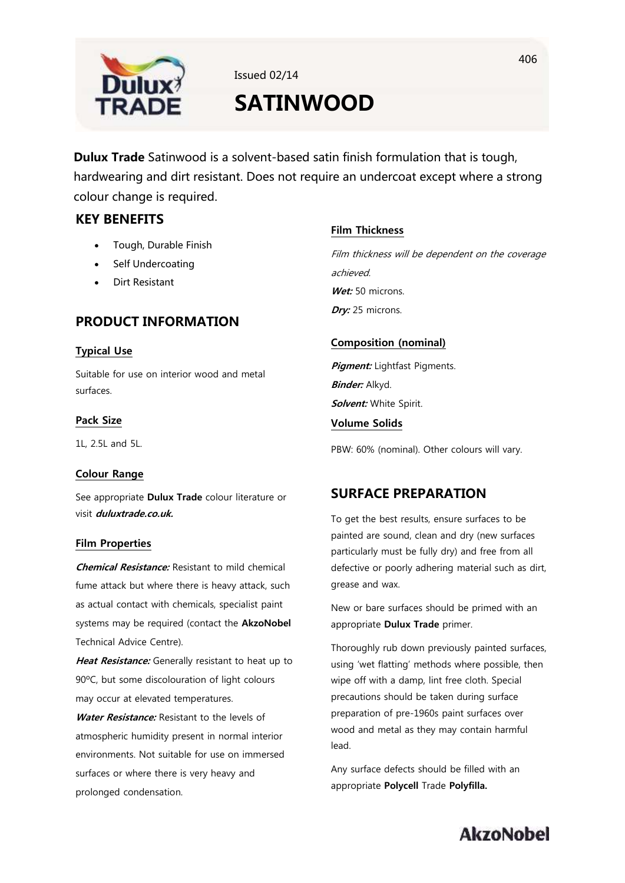

Issued 02/14

# **SATINWOOD**

**Dulux Trade** Satinwood is a solvent-based satin finish formulation that is tough, hardwearing and dirt resistant. Does not require an undercoat except where a strong colour change is required.

## **KEY BENEFITS**

- Tough, Durable Finish
- Self Undercoating
- Dirt Resistant

## **PRODUCT INFORMATION**

## **Typical Use**

Suitable for use on interior wood and metal surfaces.

## **Pack Size**

1L, 2.5L and 5L.

### **Colour Range**

See appropriate **Dulux Trade** colour literature or visit **duluxtrade.co.uk.**

### **Film Properties**

**Chemical Resistance:** Resistant to mild chemical fume attack but where there is heavy attack, such as actual contact with chemicals, specialist paint systems may be required (contact the **AkzoNobel**  Technical Advice Centre).

**Heat Resistance:** Generally resistant to heat up to 90ºC, but some discolouration of light colours may occur at elevated temperatures.

**Water Resistance:** Resistant to the levels of atmospheric humidity present in normal interior environments. Not suitable for use on immersed surfaces or where there is very heavy and prolonged condensation.

## **Film Thickness**

Film thickness will be dependent on the coverage achieved. Wet: 50 microns. **Dry:** 25 microns.

## **Composition (nominal)**

**Pigment:** Lightfast Pigments. **Binder:** Alkyd. **Solvent:** White Spirit.

## **Volume Solids**

PBW: 60% (nominal). Other colours will vary.

## **SURFACE PREPARATION**

To get the best results, ensure surfaces to be painted are sound, clean and dry (new surfaces particularly must be fully dry) and free from all defective or poorly adhering material such as dirt, grease and wax.

New or bare surfaces should be primed with an appropriate **Dulux Trade** primer.

Thoroughly rub down previously painted surfaces, using 'wet flatting' methods where possible, then wipe off with a damp, lint free cloth. Special precautions should be taken during surface preparation of pre-1960s paint surfaces over wood and metal as they may contain harmful lead.

Any surface defects should be filled with an appropriate **Polycell** Trade **Polyfilla.**

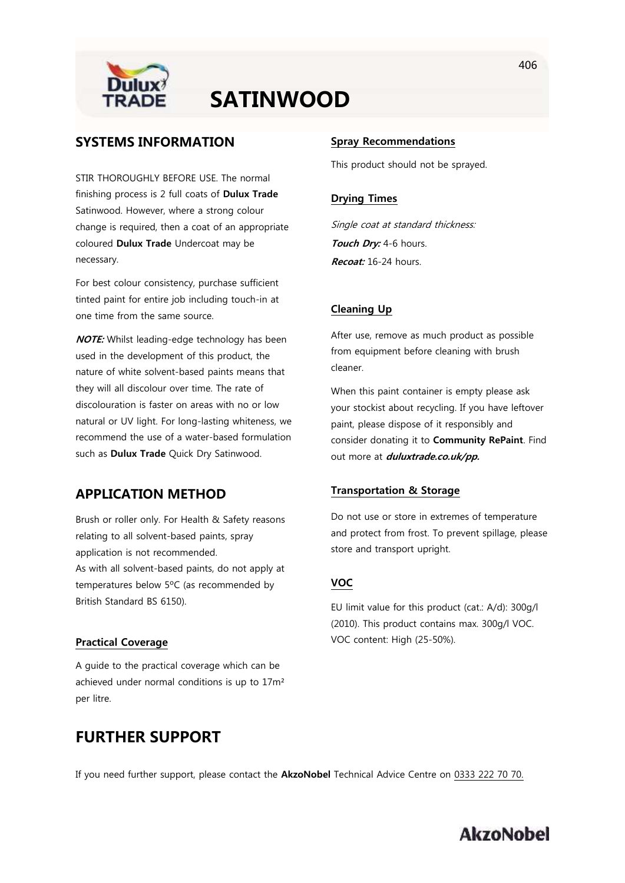

## **SATINWOOD**

## **SYSTEMS INFORMATION**

STIR THOROUGHLY BEFORE USE. The normal finishing process is 2 full coats of **Dulux Trade** Satinwood. However, where a strong colour change is required, then a coat of an appropriate coloured **Dulux Trade** Undercoat may be necessary.

For best colour consistency, purchase sufficient tinted paint for entire job including touch-in at one time from the same source.

**NOTE:** Whilst leading-edge technology has been used in the development of this product, the nature of white solvent-based paints means that they will all discolour over time. The rate of discolouration is faster on areas with no or low natural or UV light. For long-lasting whiteness, we recommend the use of a water-based formulation such as **Dulux Trade** Quick Dry Satinwood.

## **APPLICATION METHOD**

Brush or roller only. For Health & Safety reasons relating to all solvent-based paints, spray application is not recommended. As with all solvent-based paints, do not apply at temperatures below 5ºC (as recommended by British Standard BS 6150).

### **Practical Coverage**

A guide to the practical coverage which can be achieved under normal conditions is up to 17m² per litre.

## **FURTHER SUPPORT**

#### **Spray Recommendations**

This product should not be sprayed.

#### **Drying Times**

Single coat at standard thickness: **Touch Dry:** 4-6 hours. **Recoat:** 16-24 hours.

#### **Cleaning Up**

After use, remove as much product as possible from equipment before cleaning with brush cleaner.

When this paint container is empty please ask your stockist about recycling. If you have leftover paint, please dispose of it responsibly and consider donating it to **Community RePaint**. Find out more at **duluxtrade.co.uk/pp.**

#### **Transportation & Storage**

Do not use or store in extremes of temperature and protect from frost. To prevent spillage, please store and transport upright.

#### **VOC**

EU limit value for this product (cat.: A/d): 300g/l (2010). This product contains max. 300g/l VOC. VOC content: High (25-50%).

If you need further support, please contact the **AkzoNobel** Technical Advice Centre on 0333 222 70 70.

## **AkzoNobel**